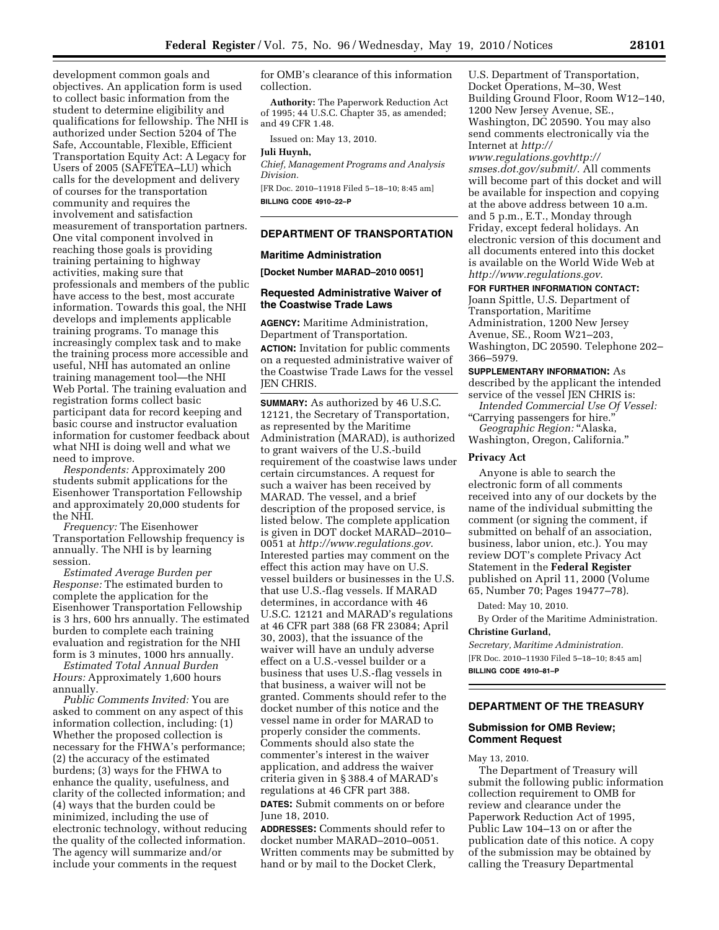development common goals and objectives. An application form is used to collect basic information from the student to determine eligibility and qualifications for fellowship. The NHI is authorized under Section 5204 of The Safe, Accountable, Flexible, Efficient Transportation Equity Act: A Legacy for Users of 2005 (SAFETEA–LU) which calls for the development and delivery of courses for the transportation community and requires the involvement and satisfaction measurement of transportation partners. One vital component involved in reaching those goals is providing training pertaining to highway activities, making sure that professionals and members of the public have access to the best, most accurate information. Towards this goal, the NHI develops and implements applicable training programs. To manage this increasingly complex task and to make the training process more accessible and useful, NHI has automated an online training management tool—the NHI Web Portal. The training evaluation and registration forms collect basic participant data for record keeping and basic course and instructor evaluation information for customer feedback about what NHI is doing well and what we need to improve.

*Respondents:* Approximately 200 students submit applications for the Eisenhower Transportation Fellowship and approximately 20,000 students for the NHI.

*Frequency:* The Eisenhower Transportation Fellowship frequency is annually. The NHI is by learning session.

*Estimated Average Burden per Response:* The estimated burden to complete the application for the Eisenhower Transportation Fellowship is 3 hrs, 600 hrs annually. The estimated burden to complete each training evaluation and registration for the NHI form is 3 minutes, 1000 hrs annually.

*Estimated Total Annual Burden Hours:* Approximately 1,600 hours annually.

*Public Comments Invited:* You are asked to comment on any aspect of this information collection, including: (1) Whether the proposed collection is necessary for the FHWA's performance; (2) the accuracy of the estimated burdens; (3) ways for the FHWA to enhance the quality, usefulness, and clarity of the collected information; and (4) ways that the burden could be minimized, including the use of electronic technology, without reducing the quality of the collected information. The agency will summarize and/or include your comments in the request

for OMB's clearance of this information collection.

**Authority:** The Paperwork Reduction Act of 1995; 44 U.S.C. Chapter 35, as amended; and 49 CFR 1.48.

Issued on: May 13, 2010.

#### **Juli Huynh,**

*Chief, Management Programs and Analysis Division.* 

[FR Doc. 2010–11918 Filed 5–18–10; 8:45 am] **BILLING CODE 4910–22–P** 

# **DEPARTMENT OF TRANSPORTATION**

#### **Maritime Administration**

**[Docket Number MARAD–2010 0051]** 

#### **Requested Administrative Waiver of the Coastwise Trade Laws**

**AGENCY:** Maritime Administration, Department of Transportation. **ACTION:** Invitation for public comments on a requested administrative waiver of the Coastwise Trade Laws for the vessel JEN CHRIS.

**SUMMARY:** As authorized by 46 U.S.C. 12121, the Secretary of Transportation, as represented by the Maritime Administration (MARAD), is authorized to grant waivers of the U.S.-build requirement of the coastwise laws under certain circumstances. A request for such a waiver has been received by MARAD. The vessel, and a brief description of the proposed service, is listed below. The complete application is given in DOT docket MARAD–2010– 0051 at *http://www.regulations.gov*. Interested parties may comment on the effect this action may have on U.S. vessel builders or businesses in the U.S. that use U.S.-flag vessels. If MARAD determines, in accordance with 46 U.S.C. 12121 and MARAD's regulations at 46 CFR part 388 (68 FR 23084; April 30, 2003), that the issuance of the waiver will have an unduly adverse effect on a U.S.-vessel builder or a business that uses U.S.-flag vessels in that business, a waiver will not be granted. Comments should refer to the docket number of this notice and the vessel name in order for MARAD to properly consider the comments. Comments should also state the commenter's interest in the waiver application, and address the waiver criteria given in § 388.4 of MARAD's regulations at 46 CFR part 388.

**DATES:** Submit comments on or before June 18, 2010.

**ADDRESSES:** Comments should refer to docket number MARAD–2010–0051. Written comments may be submitted by hand or by mail to the Docket Clerk,

U.S. Department of Transportation, Docket Operations, M–30, West Building Ground Floor, Room W12–140, 1200 New Jersey Avenue, SE., Washington, DC 20590. You may also send comments electronically via the Internet at *http://* 

*www.regulations.govhttp:// smses.dot.gov/submit/*. All comments will become part of this docket and will be available for inspection and copying at the above address between 10 a.m. and 5 p.m., E.T., Monday through Friday, except federal holidays. An electronic version of this document and all documents entered into this docket is available on the World Wide Web at *http://www.regulations.gov*.

#### **FOR FURTHER INFORMATION CONTACT:**

Joann Spittle, U.S. Department of Transportation, Maritime Administration, 1200 New Jersey Avenue, SE., Room W21–203, Washington, DC 20590. Telephone 202– 366–5979.

#### **SUPPLEMENTARY INFORMATION:** As

described by the applicant the intended service of the vessel JEN CHRIS is: *Intended Commercial Use Of Vessel:* 

''Carrying passengers for hire.''

*Geographic Region:* ''Alaska, Washington, Oregon, California.''

## **Privacy Act**

Anyone is able to search the electronic form of all comments received into any of our dockets by the name of the individual submitting the comment (or signing the comment, if submitted on behalf of an association, business, labor union, etc.). You may review DOT's complete Privacy Act Statement in the **Federal Register**  published on April 11, 2000 (Volume 65, Number 70; Pages 19477–78).

Dated: May 10, 2010.

By Order of the Maritime Administration. **Christine Gurland,** 

*Secretary, Maritime Administration.*  [FR Doc. 2010–11930 Filed 5–18–10; 8:45 am] **BILLING CODE 4910–81–P** 

# **DEPARTMENT OF THE TREASURY**

## **Submission for OMB Review; Comment Request**

May 13, 2010.

The Department of Treasury will submit the following public information collection requirement to OMB for review and clearance under the Paperwork Reduction Act of 1995, Public Law 104–13 on or after the publication date of this notice. A copy of the submission may be obtained by calling the Treasury Departmental